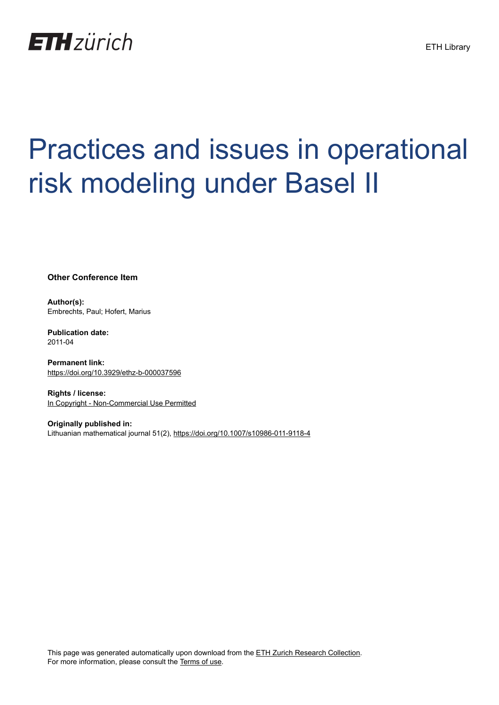

# Practices and issues in operational risk modeling under Basel II

**Other Conference Item**

**Author(s):** Embrechts, Paul; Hofert, Marius

**Publication date:** 2011-04

**Permanent link:** <https://doi.org/10.3929/ethz-b-000037596>

**Rights / license:** [In Copyright - Non-Commercial Use Permitted](http://rightsstatements.org/page/InC-NC/1.0/)

**Originally published in:** Lithuanian mathematical journal 51(2),<https://doi.org/10.1007/s10986-011-9118-4>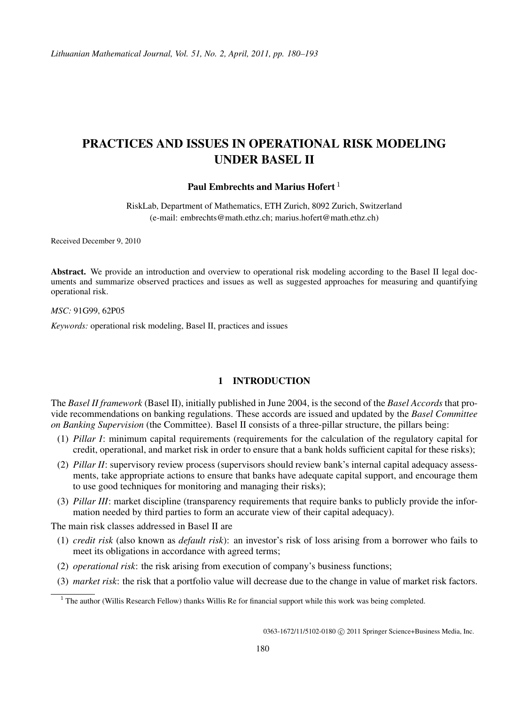# PRACTICES AND ISSUES IN OPERATIONAL RISK MODELING UNDER BASEL II

# Paul Embrechts and Marius Hofert<sup>1</sup>

RiskLab, Department of Mathematics, ETH Zurich, 8092 Zurich, Switzerland (e-mail: embrechts@math.ethz.ch; marius.hofert@math.ethz.ch)

Received December 9, 2010

Abstract. We provide an introduction and overview to operational risk modeling according to the Basel II legal documents and summarize observed practices and issues as well as suggested approaches for measuring and quantifying operational risk.

*MSC:* 91G99, 62P05

*Keywords:* operational risk modeling, Basel II, practices and issues

# 1 INTRODUCTION

The *Basel II framework* (Basel II), initially published in June 2004, is the second of the *Basel Accords* that provide recommendations on banking regulations. These accords are issued and updated by the *Basel Committee on Banking Supervision* (the Committee). Basel II consists of a three-pillar structure, the pillars being:

- (1) *Pillar I*: minimum capital requirements (requirements for the calculation of the regulatory capital for credit, operational, and market risk in order to ensure that a bank holds sufficient capital for these risks);
- (2) *Pillar II*: supervisory review process (supervisors should review bank's internal capital adequacy assessments, take appropriate actions to ensure that banks have adequate capital support, and encourage them to use good techniques for monitoring and managing their risks);
- (3) *Pillar III*: market discipline (transparency requirements that require banks to publicly provide the information needed by third parties to form an accurate view of their capital adequacy).

The main risk classes addressed in Basel II are

- (1) *credit risk* (also known as *default risk*): an investor's risk of loss arising from a borrower who fails to meet its obligations in accordance with agreed terms;
- (2) *operational risk*: the risk arising from execution of company's business functions;
- (3) *market risk*: the risk that a portfolio value will decrease due to the change in value of market risk factors.

0363-1672/11/5102-0180 © 2011 Springer Science+Business Media, Inc.

 $<sup>1</sup>$  The author (Willis Research Fellow) thanks Willis Re for financial support while this work was being completed.</sup>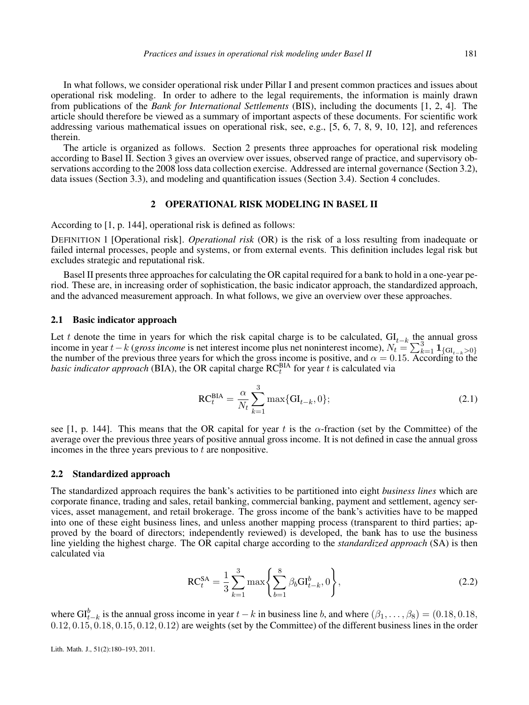In what follows, we consider operational risk under Pillar I and present common practices and issues about operational risk modeling. In order to adhere to the legal requirements, the information is mainly drawn from publications of the *Bank for International Settlements* (BIS), including the documents [1, 2, 4]. The article should therefore be viewed as a summary of important aspects of these documents. For scientific work addressing various mathematical issues on operational risk, see, e.g., [5, 6, 7, 8, 9, 10, 12], and references therein.

The article is organized as follows. Section 2 presents three approaches for operational risk modeling according to Basel II. Section 3 gives an overview over issues, observed range of practice, and supervisory observations according to the 2008 loss data collection exercise. Addressed are internal governance (Section 3.2), data issues (Section 3.3), and modeling and quantification issues (Section 3.4). Section 4 concludes.

# 2 OPERATIONAL RISK MODELING IN BASEL II

According to [1, p. 144], operational risk is defined as follows:

DEFINITION 1 [Operational risk]. *Operational risk* (OR) is the risk of a loss resulting from inadequate or failed internal processes, people and systems, or from external events. This definition includes legal risk but excludes strategic and reputational risk.

Basel II presents three approaches for calculating the OR capital required for a bank to hold in a one-year period. These are, in increasing order of sophistication, the basic indicator approach, the standardized approach, and the advanced measurement approach. In what follows, we give an overview over these approaches.

# 2.1 Basic indicator approach

Let t denote the time in years for which the risk capital charge is to be calculated,  $GI_{t-k}$  the annual gross income in year  $t-k$  (*gross income* is net interest income plus net noninterest income),  $N_t = \sum_{k=1}^{k-1} \mathbf{1}_{\{\text{GI}_{t-k}>0\}}$ the number of the previous three years for which the gross income is positive, and  $\alpha = 0.15$ . According to the *basic indicator approach* (BIA), the OR capital charge  $RC_t^{BIA}$  for year t is calculated via

$$
RC_t^{\text{BIA}} = \frac{\alpha}{N_t} \sum_{k=1}^{3} \max\{GI_{t-k}, 0\};
$$
\n(2.1)

see [1, p. 144]. This means that the OR capital for year t is the  $\alpha$ -fraction (set by the Committee) of the average over the previous three years of positive annual gross income. It is not defined in case the annual gross incomes in the three years previous to  $t$  are nonpositive.

#### 2.2 Standardized approach

The standardized approach requires the bank's activities to be partitioned into eight *business lines* which are corporate finance, trading and sales, retail banking, commercial banking, payment and settlement, agency services, asset management, and retail brokerage. The gross income of the bank's activities have to be mapped into one of these eight business lines, and unless another mapping process (transparent to third parties; approved by the board of directors; independently reviewed) is developed, the bank has to use the business line yielding the highest charge. The OR capital charge according to the *standardized approach* (SA) is then calculated via

$$
RC_t^{SA} = \frac{1}{3} \sum_{k=1}^{3} \max \left\{ \sum_{b=1}^{8} \beta_b G I_{t-k}^b, 0 \right\},
$$
 (2.2)

where  $GI_{t-k}^b$  is the annual gross income in year  $t - k$  in business line b, and where  $(\beta_1, \dots, \beta_8) = (0.18, 0.18, 0.18, 0.18, 0.18, 0.18, 0.18, 0.18, 0.18, 0.18, 0.18, 0.18, 0.18, 0.18, 0.18, 0.18, 0.18, 0.18, 0.18, 0.18$  $0.12, 0.15, 0.18, 0.15, 0.12, 0.12)$  are weights (set by the Committee) of the different business lines in the order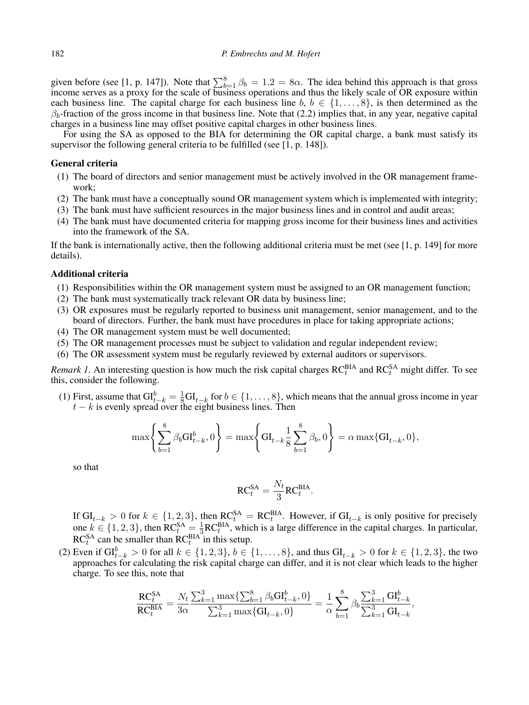given before (see [1, p. 147]). Note that  $\sum_{b=1}^{8} \beta_b = 1.2 = 8\alpha$ . The idea behind this approach is that gross income serves as a proxy for the scale of business operations and thus the likely scale of OR exposure within each business line. The capital charge for each business line  $b, b \in \{1, \ldots, 8\}$ , is then determined as the  $\beta_b$ -fraction of the gross income in that business line. Note that (2.2) implies that, in any year, negative capital charges in a business line may offset positive capital charges in other business lines.

For using the SA as opposed to the BIA for determining the OR capital charge, a bank must satisfy its supervisor the following general criteria to be fulfilled (see [1, p. 148]).

#### General criteria

- (1) The board of directors and senior management must be actively involved in the OR management framework;
- (2) The bank must have a conceptually sound OR management system which is implemented with integrity;
- (3) The bank must have sufficient resources in the major business lines and in control and audit areas;
- (4) The bank must have documented criteria for mapping gross income for their business lines and activities into the framework of the SA.

If the bank is internationally active, then the following additional criteria must be met (see [1, p. 149] for more details).

#### Additional criteria

- (1) Responsibilities within the OR management system must be assigned to an OR management function;
- (2) The bank must systematically track relevant OR data by business line;
- (3) OR exposures must be regularly reported to business unit management, senior management, and to the board of directors. Further, the bank must have procedures in place for taking appropriate actions;
- (4) The OR management system must be well documented;
- (5) The OR management processes must be subject to validation and regular independent review;
- (6) The OR assessment system must be regularly reviewed by external auditors or supervisors.

*Remark 1*. An interesting question is how much the risk capital charges  $RC_t^{BIA}$  and  $RC_t^{SA}$  might differ. To see this, consider the following.

(1) First, assume that  $GI_{t-k}^b = \frac{1}{8}GI_{t-k}$  for  $b \in \{1, ..., 8\}$ , which means that the annual gross income in year  $t - k$  is evenly spread over the eight business lines. Then

$$
\max\left\{\sum_{b=1}^8 \beta_b \mathbf{G} \mathbf{I}_{t-k}^b, 0\right\} = \max\left\{\mathbf{G} \mathbf{I}_{t-k} \frac{1}{8} \sum_{b=1}^8 \beta_b, 0\right\} = \alpha \max\{\mathbf{G} \mathbf{I}_{t-k}, 0\},\
$$

so that

$$
RC_t^{SA} = \frac{N_t}{3} RC_t^{BIA}.
$$

If  $GI_{t-k} > 0$  for  $k \in \{1, 2, 3\}$ , then  $RC_{t}^{SA} = RC_{t}^{BIA}$ . However, if  $GI_{t-k}$  is only positive for precisely one  $k \in \{1, 2, 3\}$ , then  $RC_t^{SA} = \frac{1}{3} RC_t^{BIA}$ , which is a large difference in the capital charges. In particular,  $RC_t^{SA}$  can be smaller than  $RC_t^{BIA}$  in this setup.

(2) Even if  $GI_{t-k}^b > 0$  for all  $k \in \{1, 2, 3\}$ ,  $b \in \{1, ..., 8\}$ , and thus  $GI_{t-k} > 0$  for  $k \in \{1, 2, 3\}$ , the two approaches for calculating the risk capital charge can differ, and it is not clear which leads to the hi charge. To see this, note that

$$
\frac{\text{RC}_{t}^{\text{SA}}}{\text{RC}_{t}^{\text{BIA}}} = \frac{N_{t}}{3\alpha} \frac{\sum_{k=1}^{3} \max\{\sum_{b=1}^{8} \beta_{b} \text{GI}_{t-k}^{b}, 0\}}{\sum_{k=1}^{3} \max\{\text{GI}_{t-k}, 0\}} = \frac{1}{\alpha} \sum_{b=1}^{8} \beta_{b} \frac{\sum_{k=1}^{3} \text{GI}_{t-k}^{b}}{\sum_{k=1}^{3} \text{GI}_{t-k}},
$$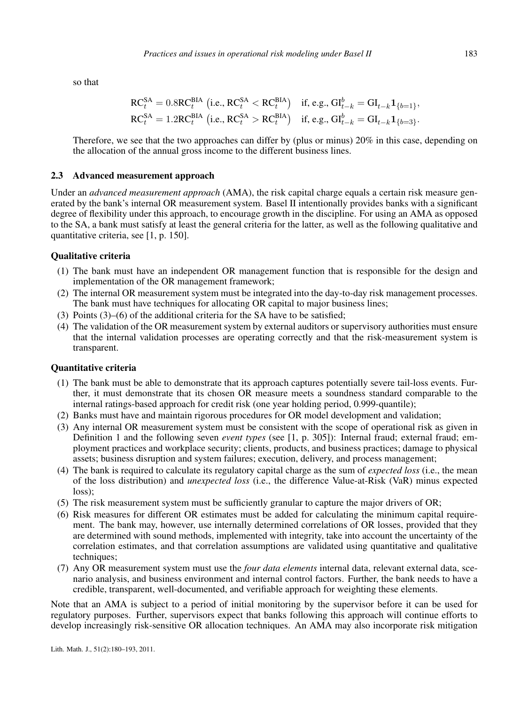so that

$$
RC_t^{SA} = 0.8RC_t^{BIA} \text{ (i.e., } RC_t^{SA} < RC_t^{BIA}) \quad \text{if, e.g., } GL_{t-k}^b = GL_{t-k} \mathbf{1}_{\{b=1\}},
$$
  

$$
RC_t^{SA} = 1.2RC_t^{BIA} \text{ (i.e., } RC_t^{SA} > RC_t^{BIA}) \quad \text{if, e.g., } GL_{t-k}^b = GL_{t-k} \mathbf{1}_{\{b=3\}}.
$$

Therefore, we see that the two approaches can differ by (plus or minus) 20% in this case, depending on the allocation of the annual gross income to the different business lines.

# 2.3 Advanced measurement approach

Under an *advanced measurement approach* (AMA), the risk capital charge equals a certain risk measure generated by the bank's internal OR measurement system. Basel II intentionally provides banks with a significant degree of flexibility under this approach, to encourage growth in the discipline. For using an AMA as opposed to the SA, a bank must satisfy at least the general criteria for the latter, as well as the following qualitative and quantitative criteria, see [1, p. 150].

# Qualitative criteria

- (1) The bank must have an independent OR management function that is responsible for the design and implementation of the OR management framework;
- (2) The internal OR measurement system must be integrated into the day-to-day risk management processes. The bank must have techniques for allocating OR capital to major business lines;
- (3) Points (3)–(6) of the additional criteria for the SA have to be satisfied;
- (4) The validation of the OR measurement system by external auditors or supervisory authorities must ensure that the internal validation processes are operating correctly and that the risk-measurement system is transparent.

#### Quantitative criteria

- (1) The bank must be able to demonstrate that its approach captures potentially severe tail-loss events. Further, it must demonstrate that its chosen OR measure meets a soundness standard comparable to the internal ratings-based approach for credit risk (one year holding period, 0.999-quantile);
- (2) Banks must have and maintain rigorous procedures for OR model development and validation;
- (3) Any internal OR measurement system must be consistent with the scope of operational risk as given in Definition 1 and the following seven *event types* (see [1, p. 305]): Internal fraud; external fraud; employment practices and workplace security; clients, products, and business practices; damage to physical assets; business disruption and system failures; execution, delivery, and process management;
- (4) The bank is required to calculate its regulatory capital charge as the sum of *expected loss* (i.e., the mean of the loss distribution) and *unexpected loss* (i.e., the difference Value-at-Risk (VaR) minus expected loss);
- (5) The risk measurement system must be sufficiently granular to capture the major drivers of OR;
- (6) Risk measures for different OR estimates must be added for calculating the minimum capital requirement. The bank may, however, use internally determined correlations of OR losses, provided that they are determined with sound methods, implemented with integrity, take into account the uncertainty of the correlation estimates, and that correlation assumptions are validated using quantitative and qualitative techniques:
- (7) Any OR measurement system must use the *four data elements* internal data, relevant external data, scenario analysis, and business environment and internal control factors. Further, the bank needs to have a credible, transparent, well-documented, and verifiable approach for weighting these elements.

Note that an AMA is subject to a period of initial monitoring by the supervisor before it can be used for regulatory purposes. Further, supervisors expect that banks following this approach will continue efforts to develop increasingly risk-sensitive OR allocation techniques. An AMA may also incorporate risk mitigation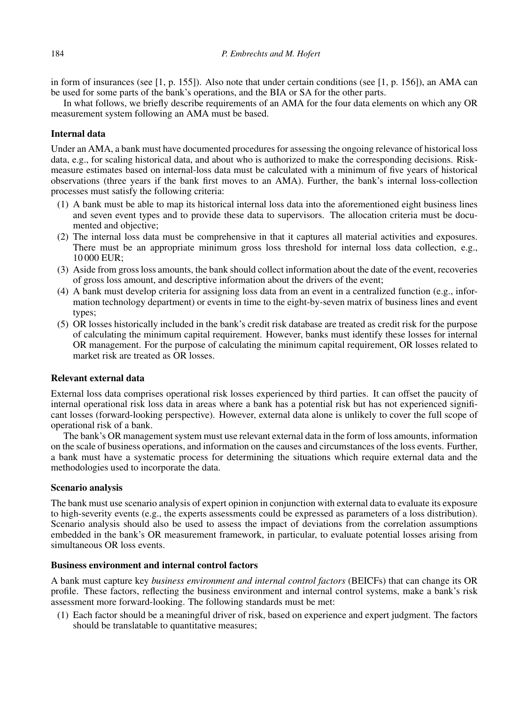in form of insurances (see [1, p. 155]). Also note that under certain conditions (see [1, p. 156]), an AMA can be used for some parts of the bank's operations, and the BIA or SA for the other parts.

In what follows, we briefly describe requirements of an AMA for the four data elements on which any OR measurement system following an AMA must be based.

# Internal data

Under an AMA, a bank must have documented procedures for assessing the ongoing relevance of historical loss data, e.g., for scaling historical data, and about who is authorized to make the corresponding decisions. Riskmeasure estimates based on internal-loss data must be calculated with a minimum of five years of historical observations (three years if the bank first moves to an AMA). Further, the bank's internal loss-collection processes must satisfy the following criteria:

- (1) A bank must be able to map its historical internal loss data into the aforementioned eight business lines and seven event types and to provide these data to supervisors. The allocation criteria must be documented and objective;
- (2) The internal loss data must be comprehensive in that it captures all material activities and exposures. There must be an appropriate minimum gross loss threshold for internal loss data collection, e.g., 10 000 EUR;
- (3) Aside from gross loss amounts, the bank should collect information about the date of the event, recoveries of gross loss amount, and descriptive information about the drivers of the event;
- (4) A bank must develop criteria for assigning loss data from an event in a centralized function (e.g., information technology department) or events in time to the eight-by-seven matrix of business lines and event types;
- (5) OR losses historically included in the bank's credit risk database are treated as credit risk for the purpose of calculating the minimum capital requirement. However, banks must identify these losses for internal OR management. For the purpose of calculating the minimum capital requirement, OR losses related to market risk are treated as OR losses.

#### Relevant external data

External loss data comprises operational risk losses experienced by third parties. It can offset the paucity of internal operational risk loss data in areas where a bank has a potential risk but has not experienced significant losses (forward-looking perspective). However, external data alone is unlikely to cover the full scope of operational risk of a bank.

The bank's OR management system must use relevant external data in the form of loss amounts, information on the scale of business operations, and information on the causes and circumstances of the loss events. Further, a bank must have a systematic process for determining the situations which require external data and the methodologies used to incorporate the data.

#### Scenario analysis

The bank must use scenario analysis of expert opinion in conjunction with external data to evaluate its exposure to high-severity events (e.g., the experts assessments could be expressed as parameters of a loss distribution). Scenario analysis should also be used to assess the impact of deviations from the correlation assumptions embedded in the bank's OR measurement framework, in particular, to evaluate potential losses arising from simultaneous OR loss events.

# Business environment and internal control factors

A bank must capture key *business environment and internal control factors* (BEICFs) that can change its OR profile. These factors, reflecting the business environment and internal control systems, make a bank's risk assessment more forward-looking. The following standards must be met:

(1) Each factor should be a meaningful driver of risk, based on experience and expert judgment. The factors should be translatable to quantitative measures;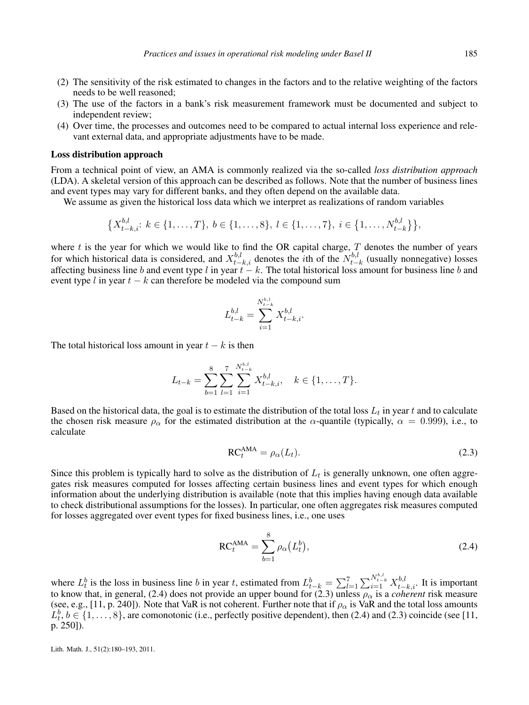- (2) The sensitivity of the risk estimated to changes in the factors and to the relative weighting of the factors needs to be well reasoned;
- (3) The use of the factors in a bank's risk measurement framework must be documented and subject to independent review;
- (4) Over time, the processes and outcomes need to be compared to actual internal loss experience and relevant external data, and appropriate adjustments have to be made.

#### Loss distribution approach

From a technical point of view, an AMA is commonly realized via the so-called *loss distribution approach* (LDA). A skeletal version of this approach can be described as follows. Note that the number of business lines and event types may vary for different banks, and they often depend on the available data.

We assume as given the historical loss data which we interpret as realizations of random variables

$$
\{X_{t-k,i}^{b,l}: k \in \{1,\ldots,T\}, b \in \{1,\ldots,8\}, l \in \{1,\ldots,7\}, i \in \{1,\ldots,N_{t-k}^{b,l}\}\},\
$$

where  $t$  is the year for which we would like to find the OR capital charge,  $T$  denotes the number of years for which historical data is considered, and  $X_{t-k,i}^{b,l}$  denotes the *i*th of the  $N_{t-k}^{b,l}$  (usually nonnegative) losses affecting business line *b* and event type *l* in year  $t - k$ . The total historical loss amount fo event type l in year  $t - k$  can therefore be modeled via the compound sum

$$
L_{t-k}^{b,l} = \sum_{i=1}^{N_{t-k}^{b,l}} X_{t-k,i}^{b,l}.
$$

The total historical loss amount in year  $t - k$  is then

$$
L_{t-k} = \sum_{b=1}^{8} \sum_{l=1}^{7} \sum_{i=1}^{N_{t-k}^{b,l}} X_{t-k,i}^{b,l}, \quad k \in \{1, \dots, T\}.
$$

Based on the historical data, the goal is to estimate the distribution of the total loss  $L_t$  in year t and to calculate the chosen risk measure  $\rho_{\alpha}$  for the estimated distribution at the  $\alpha$ -quantile (typically,  $\alpha = 0.999$ ), i.e., to calculate

$$
RC_t^{AMA} = \rho_\alpha(L_t). \tag{2.3}
$$

Since this problem is typically hard to solve as the distribution of  $L_t$  is generally unknown, one often aggregates risk measures computed for losses affecting certain business lines and event types for which enough information about the underlying distribution is available (note that this implies having enough data available to check distributional assumptions for the losses). In particular, one often aggregates risk measures computed for losses aggregated over event types for fixed business lines, i.e., one uses

$$
RC_t^{AMA} = \sum_{b=1}^{8} \rho_\alpha (L_t^b), \qquad (2.4)
$$

where  $L_t^b$  is the loss in business line b in year t, estimated from  $L_{t-k}^b = \sum_{i=1}^7$  $\sum_{l=1}^{7} \sum_{i=1}^{N_{t-k}^{b,l}} X_{t-k,i}^{b,l}$ . It is important to know that, in general, (2.4) does not provide an upper bound for (2.3) unless  $\rho_{\alpha}$  is a *coherent* risk measure (see, e.g., [11, p. 240]). Note that VaR is not coherent. Further note that if  $\rho_{\alpha}$  is VaR and the total loss amounts  $L_t^b$ ,  $b \in \{1, \ldots, 8\}$ , are comonotonic (i.e., perfectly positive dependent), then (2.4) and (2.3) coincide (see [11, p. 250]).

Lith. Math. J., 51(2):180–193, 2011.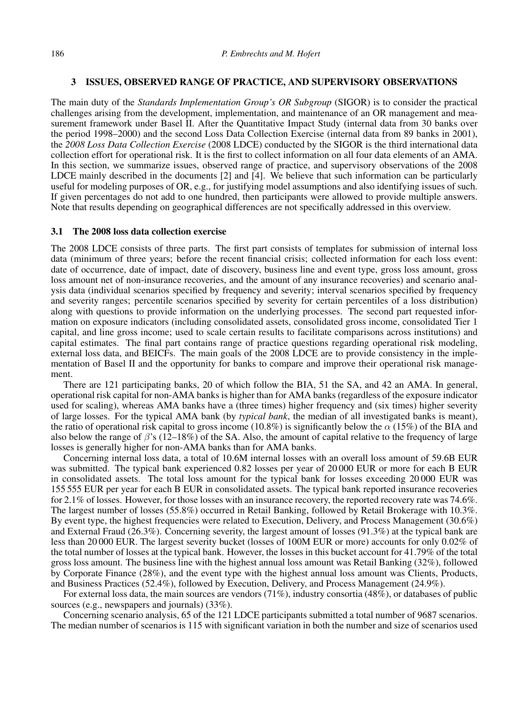#### 3 ISSUES, OBSERVED RANGE OF PRACTICE, AND SUPERVISORY OBSERVATIONS

The main duty of the *Standards Implementation Group's OR Subgroup* (SIGOR) is to consider the practical challenges arising from the development, implementation, and maintenance of an OR management and measurement framework under Basel II. After the Quantitative Impact Study (internal data from 30 banks over the period 1998–2000) and the second Loss Data Collection Exercise (internal data from 89 banks in 2001), the *2008 Loss Data Collection Exercise* (2008 LDCE) conducted by the SIGOR is the third international data collection effort for operational risk. It is the first to collect information on all four data elements of an AMA. In this section, we summarize issues, observed range of practice, and supervisory observations of the 2008 LDCE mainly described in the documents [2] and [4]. We believe that such information can be particularly useful for modeling purposes of OR, e.g., for justifying model assumptions and also identifying issues of such. If given percentages do not add to one hundred, then participants were allowed to provide multiple answers. Note that results depending on geographical differences are not specifically addressed in this overview.

# 3.1 The 2008 loss data collection exercise

The 2008 LDCE consists of three parts. The first part consists of templates for submission of internal loss data (minimum of three years; before the recent financial crisis; collected information for each loss event: date of occurrence, date of impact, date of discovery, business line and event type, gross loss amount, gross loss amount net of non-insurance recoveries, and the amount of any insurance recoveries) and scenario analysis data (individual scenarios specified by frequency and severity; interval scenarios specified by frequency and severity ranges; percentile scenarios specified by severity for certain percentiles of a loss distribution) along with questions to provide information on the underlying processes. The second part requested information on exposure indicators (including consolidated assets, consolidated gross income, consolidated Tier 1 capital, and line gross income; used to scale certain results to facilitate comparisons across institutions) and capital estimates. The final part contains range of practice questions regarding operational risk modeling, external loss data, and BEICFs. The main goals of the 2008 LDCE are to provide consistency in the implementation of Basel II and the opportunity for banks to compare and improve their operational risk management.

There are 121 participating banks, 20 of which follow the BIA, 51 the SA, and 42 an AMA. In general, operational risk capital for non-AMA banks is higher than for AMA banks (regardless of the exposure indicator used for scaling), whereas AMA banks have a (three times) higher frequency and (six times) higher severity of large losses. For the typical AMA bank (by *typical bank*, the median of all investigated banks is meant), the ratio of operational risk capital to gross income (10.8%) is significantly below the  $\alpha$  (15%) of the BIA and also below the range of  $\beta$ 's (12–18%) of the SA. Also, the amount of capital relative to the frequency of large losses is generally higher for non-AMA banks than for AMA banks.

Concerning internal loss data, a total of 10.6M internal losses with an overall loss amount of 59.6B EUR was submitted. The typical bank experienced 0.82 losses per year of 20 000 EUR or more for each B EUR in consolidated assets. The total loss amount for the typical bank for losses exceeding 20 000 EUR was 155 555 EUR per year for each B EUR in consolidated assets. The typical bank reported insurance recoveries for 2.1% of losses. However, for those losses with an insurance recovery, the reported recovery rate was 74.6%. The largest number of losses (55.8%) occurred in Retail Banking, followed by Retail Brokerage with 10.3%. By event type, the highest frequencies were related to Execution, Delivery, and Process Management (30.6%) and External Fraud (26.3%). Concerning severity, the largest amount of losses (91.3%) at the typical bank are less than 20 000 EUR. The largest severity bucket (losses of 100M EUR or more) accounts for only 0.02% of the total number of losses at the typical bank. However, the losses in this bucket account for 41.79% of the total gross loss amount. The business line with the highest annual loss amount was Retail Banking (32%), followed by Corporate Finance (28%), and the event type with the highest annual loss amount was Clients, Products, and Business Practices (52.4%), followed by Execution, Delivery, and Process Management (24.9%).

For external loss data, the main sources are vendors (71%), industry consortia (48%), or databases of public sources (e.g., newspapers and journals) (33%).

Concerning scenario analysis, 65 of the 121 LDCE participants submitted a total number of 9687 scenarios. The median number of scenarios is 115 with significant variation in both the number and size of scenarios used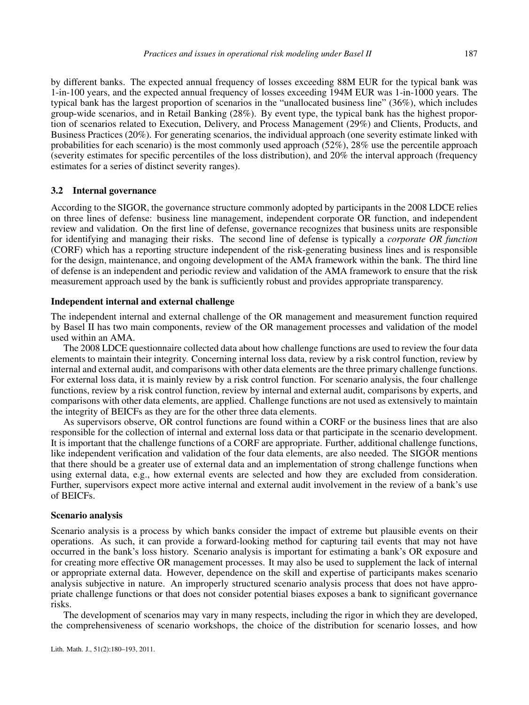by different banks. The expected annual frequency of losses exceeding 88M EUR for the typical bank was 1-in-100 years, and the expected annual frequency of losses exceeding 194M EUR was 1-in-1000 years. The typical bank has the largest proportion of scenarios in the "unallocated business line" (36%), which includes group-wide scenarios, and in Retail Banking (28%). By event type, the typical bank has the highest proportion of scenarios related to Execution, Delivery, and Process Management (29%) and Clients, Products, and Business Practices (20%). For generating scenarios, the individual approach (one severity estimate linked with probabilities for each scenario) is the most commonly used approach (52%), 28% use the percentile approach (severity estimates for specific percentiles of the loss distribution), and 20% the interval approach (frequency estimates for a series of distinct severity ranges).

# 3.2 Internal governance

According to the SIGOR, the governance structure commonly adopted by participants in the 2008 LDCE relies on three lines of defense: business line management, independent corporate OR function, and independent review and validation. On the first line of defense, governance recognizes that business units are responsible for identifying and managing their risks. The second line of defense is typically a *corporate OR function* (CORF) which has a reporting structure independent of the risk-generating business lines and is responsible for the design, maintenance, and ongoing development of the AMA framework within the bank. The third line of defense is an independent and periodic review and validation of the AMA framework to ensure that the risk measurement approach used by the bank is sufficiently robust and provides appropriate transparency.

# Independent internal and external challenge

The independent internal and external challenge of the OR management and measurement function required by Basel II has two main components, review of the OR management processes and validation of the model used within an AMA.

The 2008 LDCE questionnaire collected data about how challenge functions are used to review the four data elements to maintain their integrity. Concerning internal loss data, review by a risk control function, review by internal and external audit, and comparisons with other data elements are the three primary challenge functions. For external loss data, it is mainly review by a risk control function. For scenario analysis, the four challenge functions, review by a risk control function, review by internal and external audit, comparisons by experts, and comparisons with other data elements, are applied. Challenge functions are not used as extensively to maintain the integrity of BEICFs as they are for the other three data elements.

As supervisors observe, OR control functions are found within a CORF or the business lines that are also responsible for the collection of internal and external loss data or that participate in the scenario development. It is important that the challenge functions of a CORF are appropriate. Further, additional challenge functions, like independent verification and validation of the four data elements, are also needed. The SIGOR mentions that there should be a greater use of external data and an implementation of strong challenge functions when using external data, e.g., how external events are selected and how they are excluded from consideration. Further, supervisors expect more active internal and external audit involvement in the review of a bank's use of BEICFs.

# Scenario analysis

Scenario analysis is a process by which banks consider the impact of extreme but plausible events on their operations. As such, it can provide a forward-looking method for capturing tail events that may not have occurred in the bank's loss history. Scenario analysis is important for estimating a bank's OR exposure and for creating more effective OR management processes. It may also be used to supplement the lack of internal or appropriate external data. However, dependence on the skill and expertise of participants makes scenario analysis subjective in nature. An improperly structured scenario analysis process that does not have appropriate challenge functions or that does not consider potential biases exposes a bank to significant governance risks.

The development of scenarios may vary in many respects, including the rigor in which they are developed, the comprehensiveness of scenario workshops, the choice of the distribution for scenario losses, and how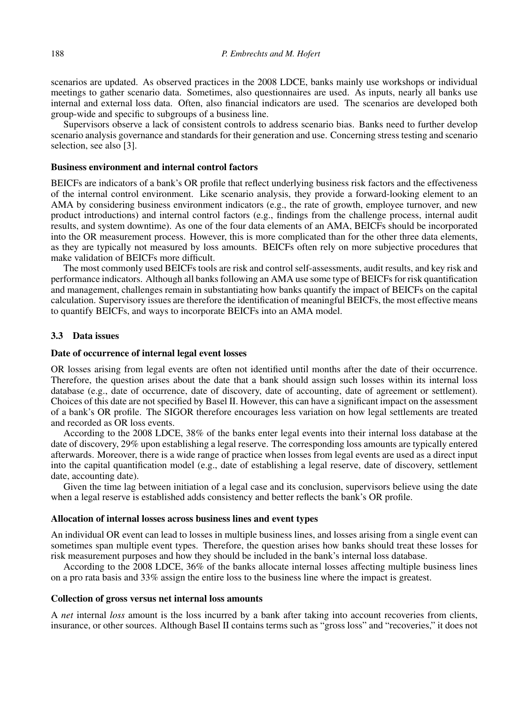scenarios are updated. As observed practices in the 2008 LDCE, banks mainly use workshops or individual meetings to gather scenario data. Sometimes, also questionnaires are used. As inputs, nearly all banks use internal and external loss data. Often, also financial indicators are used. The scenarios are developed both group-wide and specific to subgroups of a business line.

Supervisors observe a lack of consistent controls to address scenario bias. Banks need to further develop scenario analysis governance and standards for their generation and use. Concerning stress testing and scenario selection, see also [3].

# Business environment and internal control factors

BEICFs are indicators of a bank's OR profile that reflect underlying business risk factors and the effectiveness of the internal control environment. Like scenario analysis, they provide a forward-looking element to an AMA by considering business environment indicators (e.g., the rate of growth, employee turnover, and new product introductions) and internal control factors (e.g., findings from the challenge process, internal audit results, and system downtime). As one of the four data elements of an AMA, BEICFs should be incorporated into the OR measurement process. However, this is more complicated than for the other three data elements, as they are typically not measured by loss amounts. BEICFs often rely on more subjective procedures that make validation of BEICFs more difficult.

The most commonly used BEICFs tools are risk and control self-assessments, audit results, and key risk and performance indicators. Although all banks following an AMA use some type of BEICFs for risk quantification and management, challenges remain in substantiating how banks quantify the impact of BEICFs on the capital calculation. Supervisory issues are therefore the identification of meaningful BEICFs, the most effective means to quantify BEICFs, and ways to incorporate BEICFs into an AMA model.

# 3.3 Data issues

# Date of occurrence of internal legal event losses

OR losses arising from legal events are often not identified until months after the date of their occurrence. Therefore, the question arises about the date that a bank should assign such losses within its internal loss database (e.g., date of occurrence, date of discovery, date of accounting, date of agreement or settlement). Choices of this date are not specified by Basel II. However, this can have a significant impact on the assessment of a bank's OR profile. The SIGOR therefore encourages less variation on how legal settlements are treated and recorded as OR loss events.

According to the 2008 LDCE, 38% of the banks enter legal events into their internal loss database at the date of discovery, 29% upon establishing a legal reserve. The corresponding loss amounts are typically entered afterwards. Moreover, there is a wide range of practice when losses from legal events are used as a direct input into the capital quantification model (e.g., date of establishing a legal reserve, date of discovery, settlement date, accounting date).

Given the time lag between initiation of a legal case and its conclusion, supervisors believe using the date when a legal reserve is established adds consistency and better reflects the bank's OR profile.

#### Allocation of internal losses across business lines and event types

An individual OR event can lead to losses in multiple business lines, and losses arising from a single event can sometimes span multiple event types. Therefore, the question arises how banks should treat these losses for risk measurement purposes and how they should be included in the bank's internal loss database.

According to the 2008 LDCE, 36% of the banks allocate internal losses affecting multiple business lines on a pro rata basis and 33% assign the entire loss to the business line where the impact is greatest.

#### Collection of gross versus net internal loss amounts

A *net* internal *loss* amount is the loss incurred by a bank after taking into account recoveries from clients, insurance, or other sources. Although Basel II contains terms such as "gross loss" and "recoveries," it does not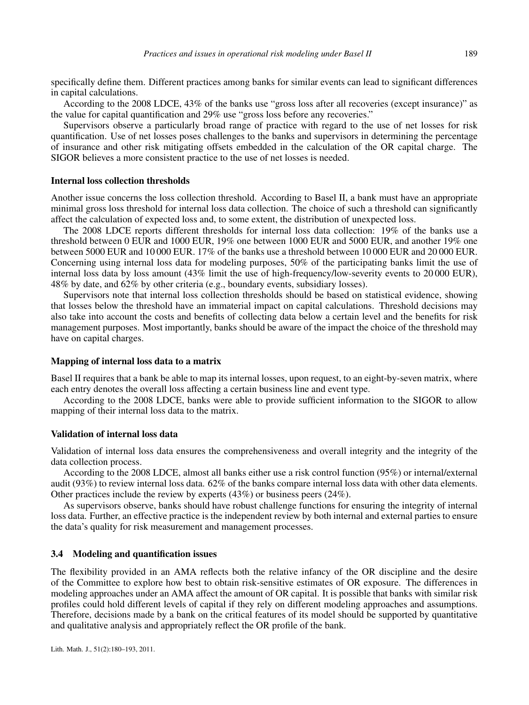specifically define them. Different practices among banks for similar events can lead to significant differences in capital calculations.

According to the 2008 LDCE, 43% of the banks use "gross loss after all recoveries (except insurance)" as the value for capital quantification and 29% use "gross loss before any recoveries."

Supervisors observe a particularly broad range of practice with regard to the use of net losses for risk quantification. Use of net losses poses challenges to the banks and supervisors in determining the percentage of insurance and other risk mitigating offsets embedded in the calculation of the OR capital charge. The SIGOR believes a more consistent practice to the use of net losses is needed.

#### Internal loss collection thresholds

Another issue concerns the loss collection threshold. According to Basel II, a bank must have an appropriate minimal gross loss threshold for internal loss data collection. The choice of such a threshold can significantly affect the calculation of expected loss and, to some extent, the distribution of unexpected loss.

The 2008 LDCE reports different thresholds for internal loss data collection: 19% of the banks use a threshold between 0 EUR and 1000 EUR, 19% one between 1000 EUR and 5000 EUR, and another 19% one between 5000 EUR and 10 000 EUR. 17% of the banks use a threshold between 10 000 EUR and 20 000 EUR. Concerning using internal loss data for modeling purposes, 50% of the participating banks limit the use of internal loss data by loss amount (43% limit the use of high-frequency/low-severity events to 20 000 EUR), 48% by date, and 62% by other criteria (e.g., boundary events, subsidiary losses).

Supervisors note that internal loss collection thresholds should be based on statistical evidence, showing that losses below the threshold have an immaterial impact on capital calculations. Threshold decisions may also take into account the costs and benefits of collecting data below a certain level and the benefits for risk management purposes. Most importantly, banks should be aware of the impact the choice of the threshold may have on capital charges.

#### Mapping of internal loss data to a matrix

Basel II requires that a bank be able to map its internal losses, upon request, to an eight-by-seven matrix, where each entry denotes the overall loss affecting a certain business line and event type.

According to the 2008 LDCE, banks were able to provide sufficient information to the SIGOR to allow mapping of their internal loss data to the matrix.

# Validation of internal loss data

Validation of internal loss data ensures the comprehensiveness and overall integrity and the integrity of the data collection process.

According to the 2008 LDCE, almost all banks either use a risk control function (95%) or internal/external audit (93%) to review internal loss data. 62% of the banks compare internal loss data with other data elements. Other practices include the review by experts (43%) or business peers (24%).

As supervisors observe, banks should have robust challenge functions for ensuring the integrity of internal loss data. Further, an effective practice is the independent review by both internal and external parties to ensure the data's quality for risk measurement and management processes.

#### 3.4 Modeling and quantification issues

The flexibility provided in an AMA reflects both the relative infancy of the OR discipline and the desire of the Committee to explore how best to obtain risk-sensitive estimates of OR exposure. The differences in modeling approaches under an AMA affect the amount of OR capital. It is possible that banks with similar risk profiles could hold different levels of capital if they rely on different modeling approaches and assumptions. Therefore, decisions made by a bank on the critical features of its model should be supported by quantitative and qualitative analysis and appropriately reflect the OR profile of the bank.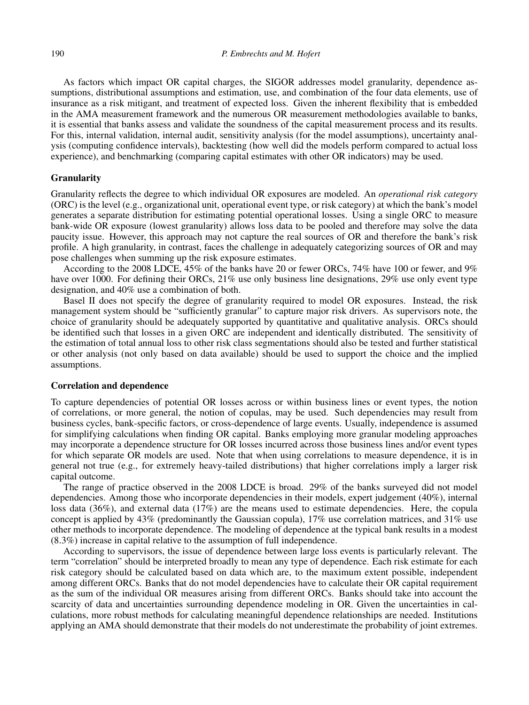As factors which impact OR capital charges, the SIGOR addresses model granularity, dependence assumptions, distributional assumptions and estimation, use, and combination of the four data elements, use of insurance as a risk mitigant, and treatment of expected loss. Given the inherent flexibility that is embedded in the AMA measurement framework and the numerous OR measurement methodologies available to banks, it is essential that banks assess and validate the soundness of the capital measurement process and its results. For this, internal validation, internal audit, sensitivity analysis (for the model assumptions), uncertainty analysis (computing confidence intervals), backtesting (how well did the models perform compared to actual loss experience), and benchmarking (comparing capital estimates with other OR indicators) may be used.

# Granularity

Granularity reflects the degree to which individual OR exposures are modeled. An *operational risk category* (ORC) is the level (e.g., organizational unit, operational event type, or risk category) at which the bank's model generates a separate distribution for estimating potential operational losses. Using a single ORC to measure bank-wide OR exposure (lowest granularity) allows loss data to be pooled and therefore may solve the data paucity issue. However, this approach may not capture the real sources of OR and therefore the bank's risk profile. A high granularity, in contrast, faces the challenge in adequately categorizing sources of OR and may pose challenges when summing up the risk exposure estimates.

According to the 2008 LDCE, 45% of the banks have 20 or fewer ORCs, 74% have 100 or fewer, and 9% have over 1000. For defining their ORCs, 21% use only business line designations, 29% use only event type designation, and 40% use a combination of both.

Basel II does not specify the degree of granularity required to model OR exposures. Instead, the risk management system should be "sufficiently granular" to capture major risk drivers. As supervisors note, the choice of granularity should be adequately supported by quantitative and qualitative analysis. ORCs should be identified such that losses in a given ORC are independent and identically distributed. The sensitivity of the estimation of total annual loss to other risk class segmentations should also be tested and further statistical or other analysis (not only based on data available) should be used to support the choice and the implied assumptions.

# Correlation and dependence

To capture dependencies of potential OR losses across or within business lines or event types, the notion of correlations, or more general, the notion of copulas, may be used. Such dependencies may result from business cycles, bank-specific factors, or cross-dependence of large events. Usually, independence is assumed for simplifying calculations when finding OR capital. Banks employing more granular modeling approaches may incorporate a dependence structure for OR losses incurred across those business lines and/or event types for which separate OR models are used. Note that when using correlations to measure dependence, it is in general not true (e.g., for extremely heavy-tailed distributions) that higher correlations imply a larger risk capital outcome.

The range of practice observed in the 2008 LDCE is broad. 29% of the banks surveyed did not model dependencies. Among those who incorporate dependencies in their models, expert judgement (40%), internal loss data (36%), and external data (17%) are the means used to estimate dependencies. Here, the copula concept is applied by 43% (predominantly the Gaussian copula), 17% use correlation matrices, and 31% use other methods to incorporate dependence. The modeling of dependence at the typical bank results in a modest (8.3%) increase in capital relative to the assumption of full independence.

According to supervisors, the issue of dependence between large loss events is particularly relevant. The term "correlation" should be interpreted broadly to mean any type of dependence. Each risk estimate for each risk category should be calculated based on data which are, to the maximum extent possible, independent among different ORCs. Banks that do not model dependencies have to calculate their OR capital requirement as the sum of the individual OR measures arising from different ORCs. Banks should take into account the scarcity of data and uncertainties surrounding dependence modeling in OR. Given the uncertainties in calculations, more robust methods for calculating meaningful dependence relationships are needed. Institutions applying an AMA should demonstrate that their models do not underestimate the probability of joint extremes.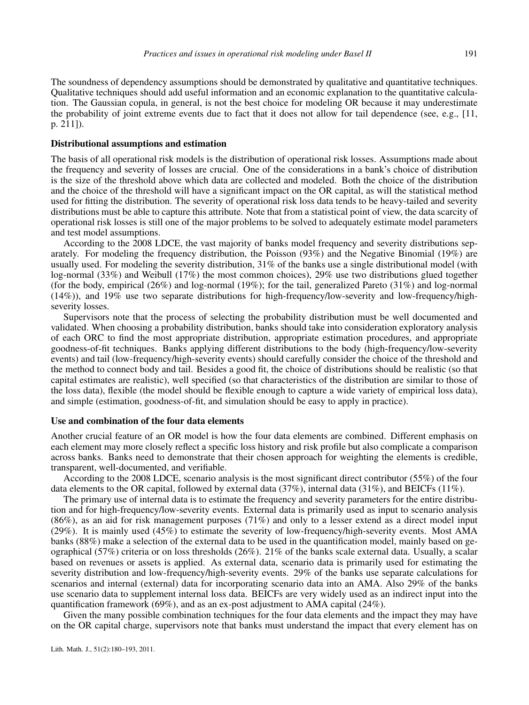The soundness of dependency assumptions should be demonstrated by qualitative and quantitative techniques. Qualitative techniques should add useful information and an economic explanation to the quantitative calculation. The Gaussian copula, in general, is not the best choice for modeling OR because it may underestimate the probability of joint extreme events due to fact that it does not allow for tail dependence (see, e.g., [11, p. 211]).

#### Distributional assumptions and estimation

The basis of all operational risk models is the distribution of operational risk losses. Assumptions made about the frequency and severity of losses are crucial. One of the considerations in a bank's choice of distribution is the size of the threshold above which data are collected and modeled. Both the choice of the distribution and the choice of the threshold will have a significant impact on the OR capital, as will the statistical method used for fitting the distribution. The severity of operational risk loss data tends to be heavy-tailed and severity distributions must be able to capture this attribute. Note that from a statistical point of view, the data scarcity of operational risk losses is still one of the major problems to be solved to adequately estimate model parameters and test model assumptions.

According to the 2008 LDCE, the vast majority of banks model frequency and severity distributions separately. For modeling the frequency distribution, the Poisson (93%) and the Negative Binomial (19%) are usually used. For modeling the severity distribution, 31% of the banks use a single distributional model (with log-normal (33%) and Weibull (17%) the most common choices), 29% use two distributions glued together (for the body, empirical (26%) and log-normal (19%); for the tail, generalized Pareto (31%) and log-normal (14%)), and 19% use two separate distributions for high-frequency/low-severity and low-frequency/highseverity losses.

Supervisors note that the process of selecting the probability distribution must be well documented and validated. When choosing a probability distribution, banks should take into consideration exploratory analysis of each ORC to find the most appropriate distribution, appropriate estimation procedures, and appropriate goodness-of-fit techniques. Banks applying different distributions to the body (high-frequency/low-severity events) and tail (low-frequency/high-severity events) should carefully consider the choice of the threshold and the method to connect body and tail. Besides a good fit, the choice of distributions should be realistic (so that capital estimates are realistic), well specified (so that characteristics of the distribution are similar to those of the loss data), flexible (the model should be flexible enough to capture a wide variety of empirical loss data), and simple (estimation, goodness-of-fit, and simulation should be easy to apply in practice).

#### Use and combination of the four data elements

Another crucial feature of an OR model is how the four data elements are combined. Different emphasis on each element may more closely reflect a specific loss history and risk profile but also complicate a comparison across banks. Banks need to demonstrate that their chosen approach for weighting the elements is credible, transparent, well-documented, and verifiable.

According to the 2008 LDCE, scenario analysis is the most significant direct contributor (55%) of the four data elements to the OR capital, followed by external data (37%), internal data (31%), and BEICFs (11%).

The primary use of internal data is to estimate the frequency and severity parameters for the entire distribution and for high-frequency/low-severity events. External data is primarily used as input to scenario analysis (86%), as an aid for risk management purposes (71%) and only to a lesser extend as a direct model input (29%). It is mainly used (45%) to estimate the severity of low-frequency/high-severity events. Most AMA banks (88%) make a selection of the external data to be used in the quantification model, mainly based on geographical (57%) criteria or on loss thresholds (26%). 21% of the banks scale external data. Usually, a scalar based on revenues or assets is applied. As external data, scenario data is primarily used for estimating the severity distribution and low-frequency/high-severity events. 29% of the banks use separate calculations for scenarios and internal (external) data for incorporating scenario data into an AMA. Also 29% of the banks use scenario data to supplement internal loss data. BEICFs are very widely used as an indirect input into the quantification framework (69%), and as an ex-post adjustment to AMA capital (24%).

Given the many possible combination techniques for the four data elements and the impact they may have on the OR capital charge, supervisors note that banks must understand the impact that every element has on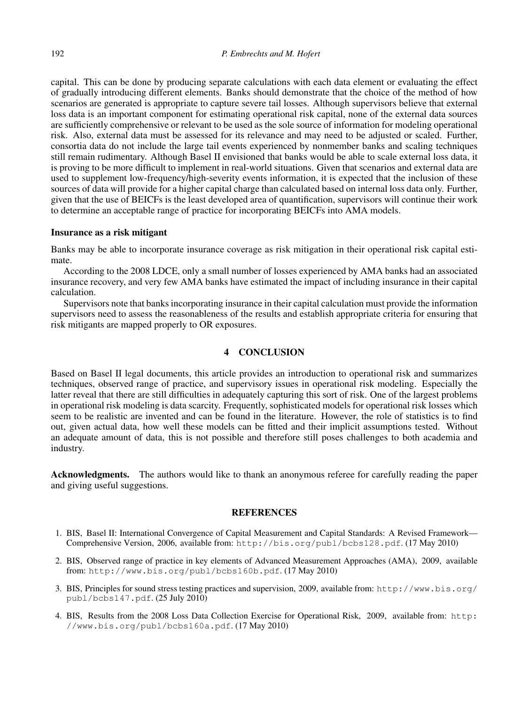capital. This can be done by producing separate calculations with each data element or evaluating the effect of gradually introducing different elements. Banks should demonstrate that the choice of the method of how scenarios are generated is appropriate to capture severe tail losses. Although supervisors believe that external loss data is an important component for estimating operational risk capital, none of the external data sources are sufficiently comprehensive or relevant to be used as the sole source of information for modeling operational risk. Also, external data must be assessed for its relevance and may need to be adjusted or scaled. Further, consortia data do not include the large tail events experienced by nonmember banks and scaling techniques still remain rudimentary. Although Basel II envisioned that banks would be able to scale external loss data, it is proving to be more difficult to implement in real-world situations. Given that scenarios and external data are used to supplement low-frequency/high-severity events information, it is expected that the inclusion of these sources of data will provide for a higher capital charge than calculated based on internal loss data only. Further, given that the use of BEICFs is the least developed area of quantification, supervisors will continue their work to determine an acceptable range of practice for incorporating BEICFs into AMA models.

#### Insurance as a risk mitigant

Banks may be able to incorporate insurance coverage as risk mitigation in their operational risk capital estimate.

According to the 2008 LDCE, only a small number of losses experienced by AMA banks had an associated insurance recovery, and very few AMA banks have estimated the impact of including insurance in their capital calculation.

Supervisors note that banks incorporating insurance in their capital calculation must provide the information supervisors need to assess the reasonableness of the results and establish appropriate criteria for ensuring that risk mitigants are mapped properly to OR exposures.

# 4 CONCLUSION

Based on Basel II legal documents, this article provides an introduction to operational risk and summarizes techniques, observed range of practice, and supervisory issues in operational risk modeling. Especially the latter reveal that there are still difficulties in adequately capturing this sort of risk. One of the largest problems in operational risk modeling is data scarcity. Frequently, sophisticated models for operational risk losses which seem to be realistic are invented and can be found in the literature. However, the role of statistics is to find out, given actual data, how well these models can be fitted and their implicit assumptions tested. Without an adequate amount of data, this is not possible and therefore still poses challenges to both academia and industry.

Acknowledgments. The authors would like to thank an anonymous referee for carefully reading the paper and giving useful suggestions.

#### **REFERENCES**

- 1. BIS, Basel II: International Convergence of Capital Measurement and Capital Standards: A Revised Framework— Comprehensive Version, 2006, available from: http://bis.org/publ/bcbs128.pdf. (17 May 2010)
- 2. BIS, Observed range of practice in key elements of Advanced Measurement Approaches (AMA), 2009, available from: http://www.bis.org/publ/bcbs160b.pdf. (17 May 2010)
- 3. BIS, Principles for sound stress testing practices and supervision, 2009, available from: http://www.bis.org/ publ/bcbs147.pdf. (25 July 2010)
- 4. BIS, Results from the 2008 Loss Data Collection Exercise for Operational Risk, 2009, available from: http: //www.bis.org/publ/bcbs160a.pdf. (17 May 2010)